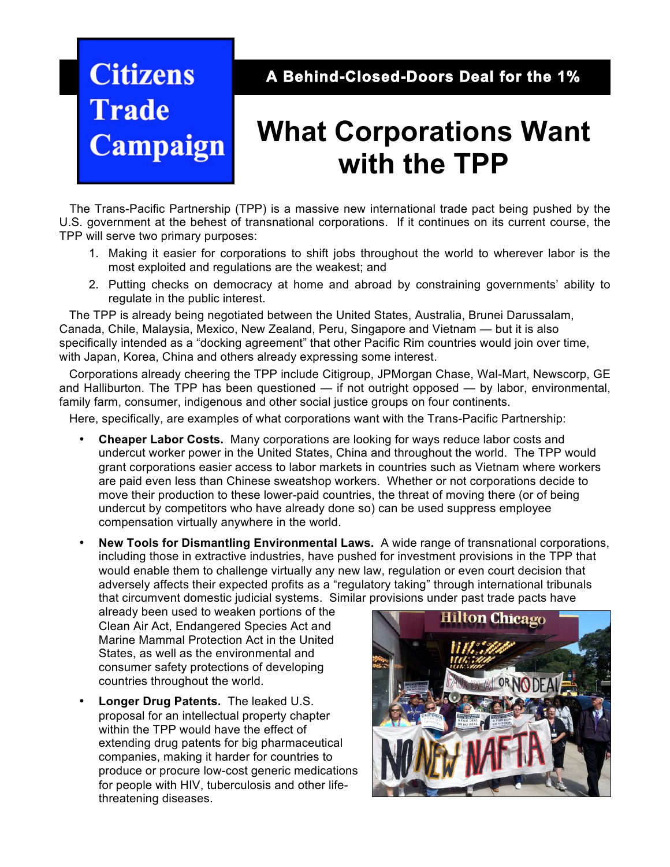

## **A Behind-Closed-Doors Deal for the 1%**

## **What Corporations Want with the TPP**

The Trans-Pacific Partnership (TPP) is a massive new international trade pact being pushed by the U.S. government at the behest of transnational corporations. If it continues on its current course, the TPP will serve two primary purposes:

- 1. Making it easier for corporations to shift jobs throughout the world to wherever labor is the most exploited and regulations are the weakest; and
- 2. Putting checks on democracy at home and abroad by constraining governments' ability to regulate in the public interest.

The TPP is already being negotiated between the United States, Australia, Brunei Darussalam, Canada, Chile, Malaysia, Mexico, New Zealand, Peru, Singapore and Vietnam — but it is also specifically intended as a "docking agreement" that other Pacific Rim countries would join over time, with Japan, Korea, China and others already expressing some interest.

Corporations already cheering the TPP include Citigroup, JPMorgan Chase, Wal-Mart, Newscorp, GE and Halliburton. The TPP has been questioned — if not outright opposed — by labor, environmental, family farm, consumer, indigenous and other social justice groups on four continents.

Here, specifically, are examples of what corporations want with the Trans-Pacific Partnership:

- **Cheaper Labor Costs.** Many corporations are looking for ways reduce labor costs and undercut worker power in the United States, China and throughout the world. The TPP would grant corporations easier access to labor markets in countries such as Vietnam where workers are paid even less than Chinese sweatshop workers. Whether or not corporations decide to move their production to these lower-paid countries, the threat of moving there (or of being undercut by competitors who have already done so) can be used suppress employee compensation virtually anywhere in the world.
- **New Tools for Dismantling Environmental Laws.** A wide range of transnational corporations, including those in extractive industries, have pushed for investment provisions in the TPP that would enable them to challenge virtually any new law, regulation or even court decision that adversely affects their expected profits as a "regulatory taking" through international tribunals that circumvent domestic judicial systems. Similar provisions under past trade pacts have

already been used to weaken portions of the Clean Air Act, Endangered Species Act and Marine Mammal Protection Act in the United States, as well as the environmental and consumer safety protections of developing countries throughout the world.

• **Longer Drug Patents.** The leaked U.S. proposal for an intellectual property chapter within the TPP would have the effect of extending drug patents for big pharmaceutical companies, making it harder for countries to produce or procure low-cost generic medications for people with HIV, tuberculosis and other lifethreatening diseases.